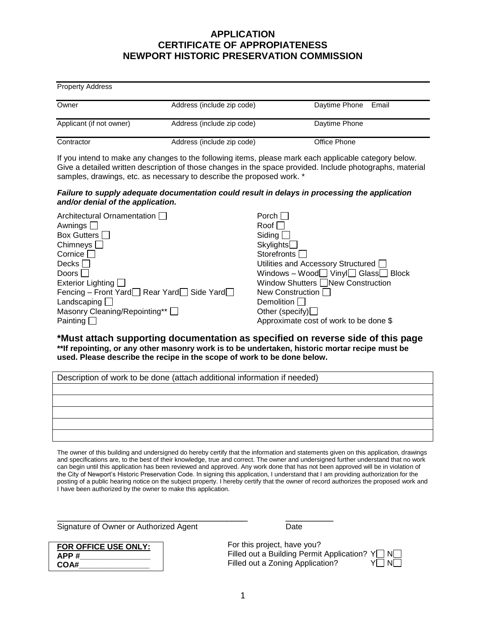## **APPLICATION CERTIFICATE OF APPROPIATENESS NEWPORT HISTORIC PRESERVATION COMMISSION**

| <b>Property Address</b>  |                            |                        |
|--------------------------|----------------------------|------------------------|
| Owner                    | Address (include zip code) | Daytime Phone<br>Email |
| Applicant (if not owner) | Address (include zip code) | Daytime Phone          |
| Contractor               | Address (include zip code) | Office Phone           |

If you intend to make any changes to the following items, please mark each applicable category below. Give a detailed written description of those changes in the space provided. Include photographs, material samples, drawings, etc. as necessary to describe the proposed work. \*

### *Failure to supply adequate documentation could result in delays in processing the application and/or denial of the application.*

| Architectural Ornamentation                                   | Porch I                                               |
|---------------------------------------------------------------|-------------------------------------------------------|
| Awnings                                                       | Roof                                                  |
| Box Gutters [                                                 | Siding                                                |
| Chimneys $\Box$                                               | Skylights                                             |
| Cornice                                                       | Storefronts                                           |
| Decks                                                         | Utilities and Accessory Structured [                  |
| Doors                                                         | Windows - Wood $\Box$ Vinyl $\Box$ Glass $\Box$ Block |
| Exterior Lighting                                             | Window Shutters New Construction                      |
| Fencing – Front Yard $\Box$ Rear Yard $\Box$ Side Yard $\Box$ | New Construction                                      |
| Landscaping $\square$                                         | Demolition                                            |
| Masonry Cleaning/Repointing** [                               | Other (specify) $\Box$                                |
| Painting                                                      | Approximate cost of work to be done \$                |

**\*Must attach supporting documentation as specified on reverse side of this page \*\*If repointing, or any other masonry work is to be undertaken, historic mortar recipe must be used. Please describe the recipe in the scope of work to be done below.** 

| Description of work to be done (attach additional information if needed) |  |  |
|--------------------------------------------------------------------------|--|--|
|                                                                          |  |  |
|                                                                          |  |  |
|                                                                          |  |  |
|                                                                          |  |  |
|                                                                          |  |  |

The owner of this building and undersigned do hereby certify that the information and statements given on this application, drawings and specifications are, to the best of their knowledge, true and correct. The owner and undersigned further understand that no work can begin until this application has been reviewed and approved. Any work done that has not been approved will be in violation of the City of Newport's Historic Preservation Code. In signing this application, I understand that I am providing authorization for the posting of a public hearing notice on the subject property. I hereby certify that the owner of record authorizes the proposed work and I have been authorized by the owner to make this application.

\_\_\_\_\_\_\_\_\_\_\_\_\_\_\_\_\_\_\_\_\_\_\_\_\_\_\_\_\_\_\_\_\_\_\_\_ \_\_\_\_\_\_\_\_\_

Signature of Owner or Authorized Agent **Date** Date

**FOR OFFICE USE ONLY: APP #\_\_\_\_\_\_\_\_\_\_\_\_\_\_\_\_ COA#\_\_\_\_\_\_\_\_\_\_\_\_\_\_\_\_**

For this project, have you? Filled out a Building Permit Application?  $Y \square N$ Filled out a Zoning Application? Y N